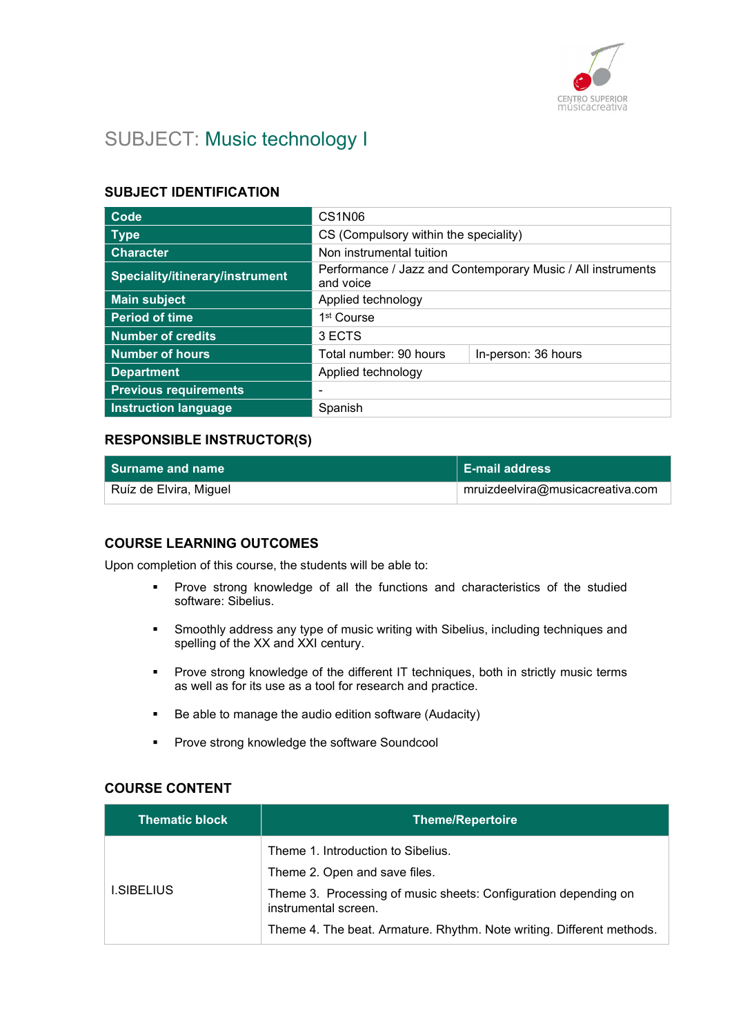

# SUBJECT: Music technology I

## SUBJECT IDENTIFICATION

| Code                            | CS <sub>1</sub> N <sub>06</sub>                                          |                     |
|---------------------------------|--------------------------------------------------------------------------|---------------------|
| <b>Type</b>                     | CS (Compulsory within the speciality)                                    |                     |
| <b>Character</b>                | Non instrumental tuition                                                 |                     |
| Speciality/itinerary/instrument | Performance / Jazz and Contemporary Music / All instruments<br>and voice |                     |
| <b>Main subject</b>             | Applied technology                                                       |                     |
| <b>Period of time</b>           | 1 <sup>st</sup> Course                                                   |                     |
| <b>Number of credits</b>        | 3 ECTS                                                                   |                     |
| <b>Number of hours</b>          | Total number: 90 hours                                                   | In-person: 36 hours |
| <b>Department</b>               | Applied technology                                                       |                     |
| <b>Previous requirements</b>    |                                                                          |                     |
| <b>Instruction language</b>     | Spanish                                                                  |                     |

#### RESPONSIBLE INSTRUCTOR(S)

| <b>Surname and name</b> | <b>E-mail address</b>            |
|-------------------------|----------------------------------|
| Ruíz de Elvira, Miguel  | mruizdeelvira@musicacreativa.com |

#### COURSE LEARNING OUTCOMES

Upon completion of this course, the students will be able to:

- **•** Prove strong knowledge of all the functions and characteristics of the studied software: Sibelius.
- Smoothly address any type of music writing with Sibelius, including techniques and spelling of the XX and XXI century.
- Prove strong knowledge of the different IT techniques, both in strictly music terms as well as for its use as a tool for research and practice.
- Be able to manage the audio edition software (Audacity)
- **Prove strong knowledge the software Soundcool**

## COURSE CONTENT

| <b>Thematic block</b> | <b>Theme/Repertoire</b>                                                                 |
|-----------------------|-----------------------------------------------------------------------------------------|
|                       | Theme 1. Introduction to Sibelius.                                                      |
|                       | Theme 2. Open and save files.                                                           |
| <b>I.SIBELIUS</b>     | Theme 3. Processing of music sheets: Configuration depending on<br>instrumental screen. |
|                       | Theme 4. The beat. Armature. Rhythm. Note writing. Different methods.                   |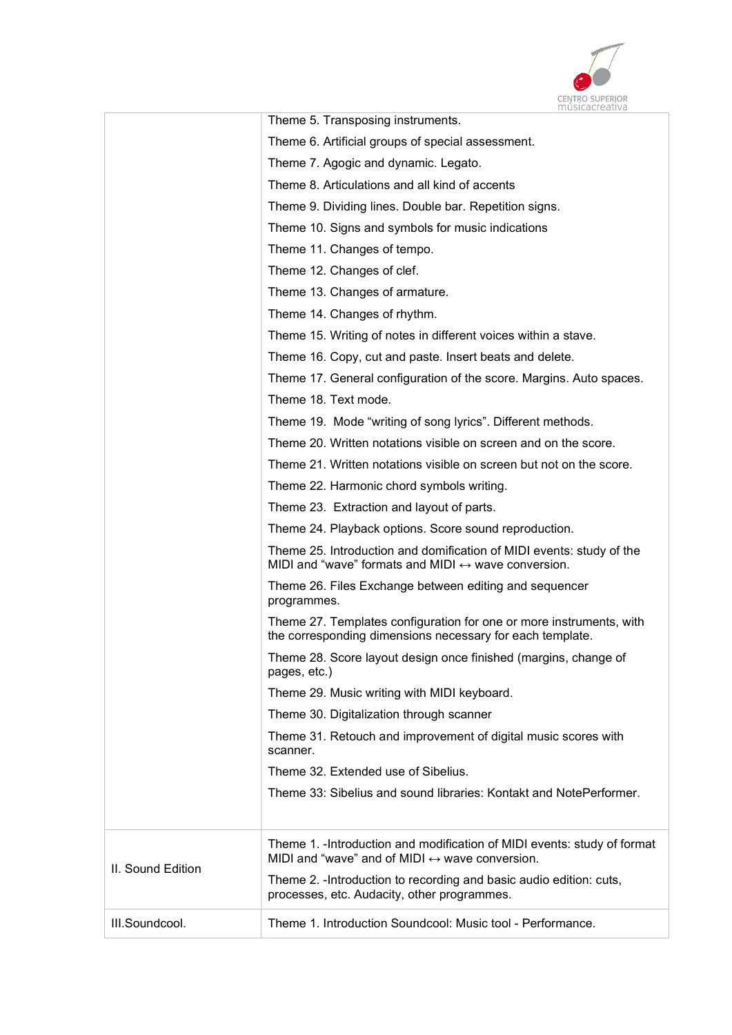

|                   | Theme 5. Transposing instruments.                                                                                                           |
|-------------------|---------------------------------------------------------------------------------------------------------------------------------------------|
|                   | Theme 6. Artificial groups of special assessment.                                                                                           |
|                   | Theme 7. Agogic and dynamic. Legato.                                                                                                        |
|                   | Theme 8. Articulations and all kind of accents                                                                                              |
|                   | Theme 9. Dividing lines. Double bar. Repetition signs.                                                                                      |
|                   | Theme 10. Signs and symbols for music indications                                                                                           |
|                   | Theme 11. Changes of tempo.                                                                                                                 |
|                   | Theme 12. Changes of clef.                                                                                                                  |
|                   | Theme 13. Changes of armature.                                                                                                              |
|                   | Theme 14. Changes of rhythm.                                                                                                                |
|                   | Theme 15. Writing of notes in different voices within a stave.                                                                              |
|                   | Theme 16. Copy, cut and paste. Insert beats and delete.                                                                                     |
|                   | Theme 17. General configuration of the score. Margins. Auto spaces.                                                                         |
|                   | Theme 18. Text mode.                                                                                                                        |
|                   | Theme 19. Mode "writing of song lyrics". Different methods.                                                                                 |
|                   | Theme 20. Written notations visible on screen and on the score.                                                                             |
|                   | Theme 21. Written notations visible on screen but not on the score.                                                                         |
|                   | Theme 22. Harmonic chord symbols writing.                                                                                                   |
|                   | Theme 23. Extraction and layout of parts.                                                                                                   |
|                   | Theme 24. Playback options. Score sound reproduction.                                                                                       |
|                   | Theme 25. Introduction and domification of MIDI events: study of the<br>MIDI and "wave" formats and MIDI $\leftrightarrow$ wave conversion. |
|                   | Theme 26. Files Exchange between editing and sequencer<br>programmes.                                                                       |
|                   | Theme 27. Templates configuration for one or more instruments, with<br>the corresponding dimensions necessary for each template.            |
|                   | Theme 28. Score layout design once finished (margins, change of<br>pages, etc.)                                                             |
|                   | Theme 29. Music writing with MIDI keyboard.                                                                                                 |
|                   | Theme 30. Digitalization through scanner                                                                                                    |
|                   | Theme 31. Retouch and improvement of digital music scores with<br>scanner.                                                                  |
|                   | Theme 32. Extended use of Sibelius.                                                                                                         |
|                   | Theme 33: Sibelius and sound libraries: Kontakt and NotePerformer.                                                                          |
| II. Sound Edition | Theme 1. - Introduction and modification of MIDI events: study of format<br>MIDI and "wave" and of MIDI $\leftrightarrow$ wave conversion.  |
|                   | Theme 2. - Introduction to recording and basic audio edition: cuts,<br>processes, etc. Audacity, other programmes.                          |
| III.Soundcool.    | Theme 1. Introduction Soundcool: Music tool - Performance.                                                                                  |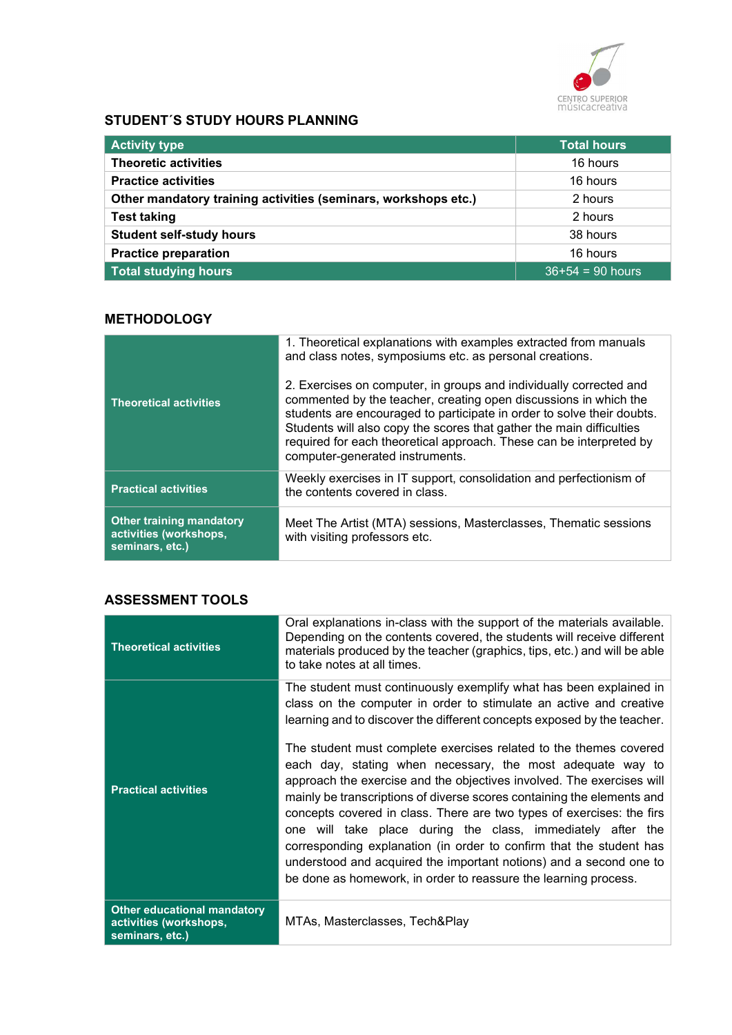

## STUDENT´S STUDY HOURS PLANNING

| <b>Activity type</b>                                           | <b>Total hours</b>   |
|----------------------------------------------------------------|----------------------|
| <b>Theoretic activities</b>                                    | 16 hours             |
| <b>Practice activities</b>                                     | 16 hours             |
| Other mandatory training activities (seminars, workshops etc.) | 2 hours              |
| <b>Test taking</b>                                             | 2 hours              |
| <b>Student self-study hours</b>                                | 38 hours             |
| <b>Practice preparation</b>                                    | 16 hours             |
| <b>Total studying hours</b>                                    | $36 + 54 = 90$ hours |

## **METHODOLOGY**

|                                                                              | 1. Theoretical explanations with examples extracted from manuals                                                                                                                                                                                                                                                                                                                                   |
|------------------------------------------------------------------------------|----------------------------------------------------------------------------------------------------------------------------------------------------------------------------------------------------------------------------------------------------------------------------------------------------------------------------------------------------------------------------------------------------|
|                                                                              | and class notes, symposiums etc. as personal creations.                                                                                                                                                                                                                                                                                                                                            |
| <b>Theoretical activities</b>                                                | 2. Exercises on computer, in groups and individually corrected and<br>commented by the teacher, creating open discussions in which the<br>students are encouraged to participate in order to solve their doubts.<br>Students will also copy the scores that gather the main difficulties<br>required for each theoretical approach. These can be interpreted by<br>computer-generated instruments. |
| <b>Practical activities</b>                                                  | Weekly exercises in IT support, consolidation and perfectionism of<br>the contents covered in class.                                                                                                                                                                                                                                                                                               |
| <b>Other training mandatory</b><br>activities (workshops,<br>seminars, etc.) | Meet The Artist (MTA) sessions, Masterclasses, Thematic sessions<br>with visiting professors etc.                                                                                                                                                                                                                                                                                                  |

## ASSESSMENT TOOLS

| <b>Theoretical activities</b>                                                   | Oral explanations in-class with the support of the materials available.<br>Depending on the contents covered, the students will receive different<br>materials produced by the teacher (graphics, tips, etc.) and will be able<br>to take notes at all times.                                                                                                                                                                                                                                                                                                         |
|---------------------------------------------------------------------------------|-----------------------------------------------------------------------------------------------------------------------------------------------------------------------------------------------------------------------------------------------------------------------------------------------------------------------------------------------------------------------------------------------------------------------------------------------------------------------------------------------------------------------------------------------------------------------|
|                                                                                 | The student must continuously exemplify what has been explained in<br>class on the computer in order to stimulate an active and creative<br>learning and to discover the different concepts exposed by the teacher.<br>The student must complete exercises related to the themes covered                                                                                                                                                                                                                                                                              |
| <b>Practical activities</b>                                                     | each day, stating when necessary, the most adequate way to<br>approach the exercise and the objectives involved. The exercises will<br>mainly be transcriptions of diverse scores containing the elements and<br>concepts covered in class. There are two types of exercises: the firs<br>one will take place during the class, immediately after the<br>corresponding explanation (in order to confirm that the student has<br>understood and acquired the important notions) and a second one to<br>be done as homework, in order to reassure the learning process. |
| <b>Other educational mandatory</b><br>activities (workshops,<br>seminars, etc.) | MTAs, Masterclasses, Tech&Play                                                                                                                                                                                                                                                                                                                                                                                                                                                                                                                                        |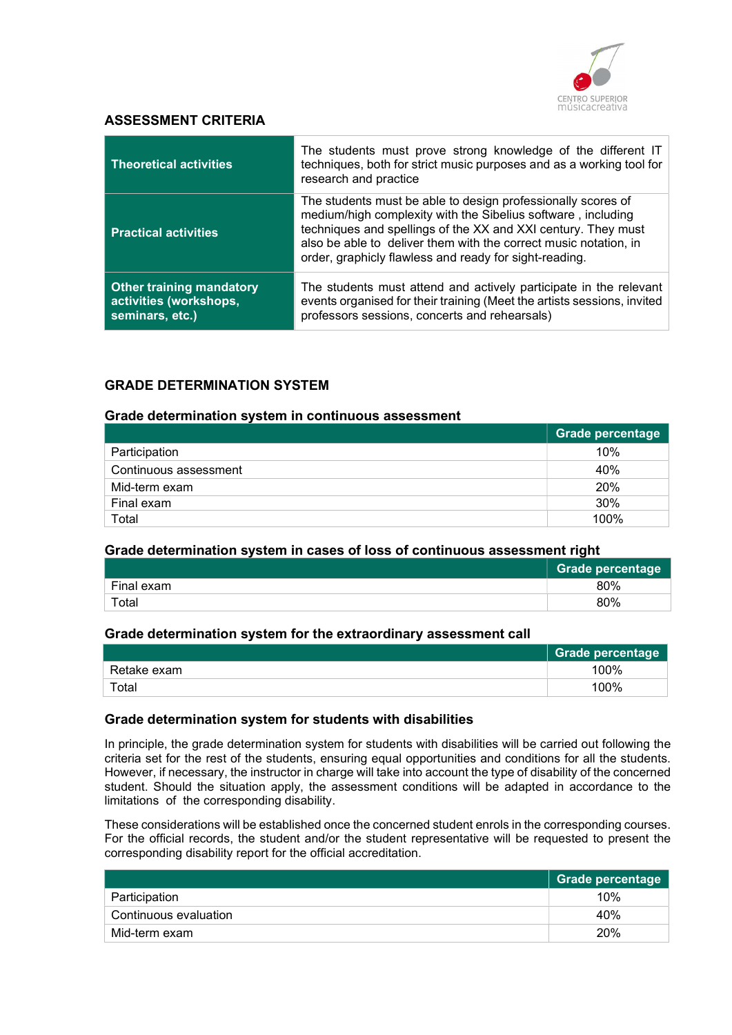

#### ASSESSMENT CRITERIA

| <b>Theoretical activities</b>                                                | The students must prove strong knowledge of the different IT<br>techniques, both for strict music purposes and as a working tool for<br>research and practice                                                                                                                                                               |
|------------------------------------------------------------------------------|-----------------------------------------------------------------------------------------------------------------------------------------------------------------------------------------------------------------------------------------------------------------------------------------------------------------------------|
| <b>Practical activities</b>                                                  | The students must be able to design professionally scores of<br>medium/high complexity with the Sibelius software, including<br>techniques and spellings of the XX and XXI century. They must<br>also be able to deliver them with the correct music notation, in<br>order, graphicly flawless and ready for sight-reading. |
| <b>Other training mandatory</b><br>activities (workshops,<br>seminars, etc.) | The students must attend and actively participate in the relevant<br>events organised for their training (Meet the artists sessions, invited<br>professors sessions, concerts and rehearsals)                                                                                                                               |

#### GRADE DETERMINATION SYSTEM

#### Grade determination system in continuous assessment

|                       | Grade percentage |
|-----------------------|------------------|
| Participation         | 10%              |
| Continuous assessment | 40%              |
| Mid-term exam         | 20%              |
| Final exam            | 30%              |
| Total                 | 100%             |

#### Grade determination system in cases of loss of continuous assessment right

|            | <b>Grade percentage</b> |
|------------|-------------------------|
| Final exam | 80%                     |
| Total      | 80%                     |

#### Grade determination system for the extraordinary assessment call

|             | <b>Grade percentage</b> |
|-------------|-------------------------|
| Retake exam | 100%                    |
| Total       | 100%                    |

#### Grade determination system for students with disabilities

In principle, the grade determination system for students with disabilities will be carried out following the criteria set for the rest of the students, ensuring equal opportunities and conditions for all the students. However, if necessary, the instructor in charge will take into account the type of disability of the concerned student. Should the situation apply, the assessment conditions will be adapted in accordance to the limitations of the corresponding disability.

These considerations will be established once the concerned student enrols in the corresponding courses. For the official records, the student and/or the student representative will be requested to present the corresponding disability report for the official accreditation.

|                       | Grade percentage |
|-----------------------|------------------|
| Participation         | 10%              |
| Continuous evaluation | 40%              |
| Mid-term exam         | 20%              |